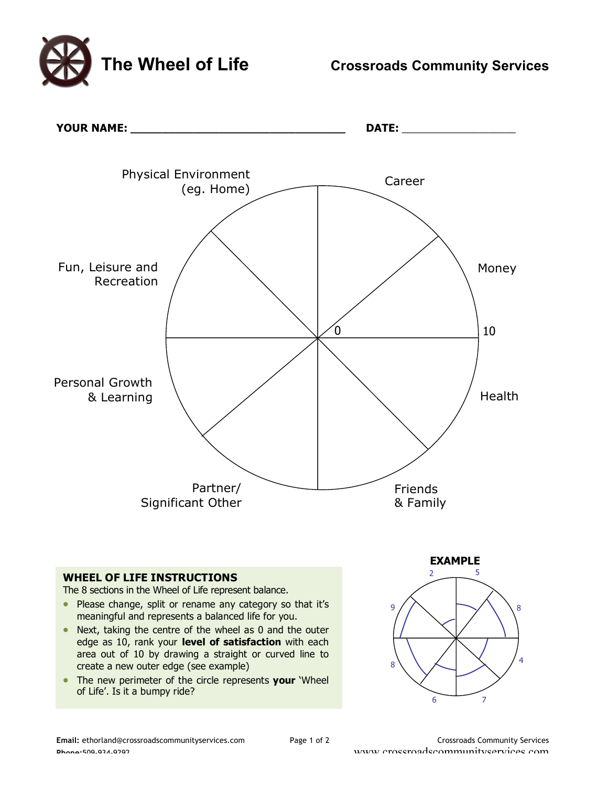**The Wheel of Life Crossroads Community Services**



Email: ethorland@crossroadscommunityservices.com Page 1 of 2 Crossroads Community Services

**Phone:509-934-9393**<br>**Phone:509-934-9393** www.crossroadscommunityservices.com